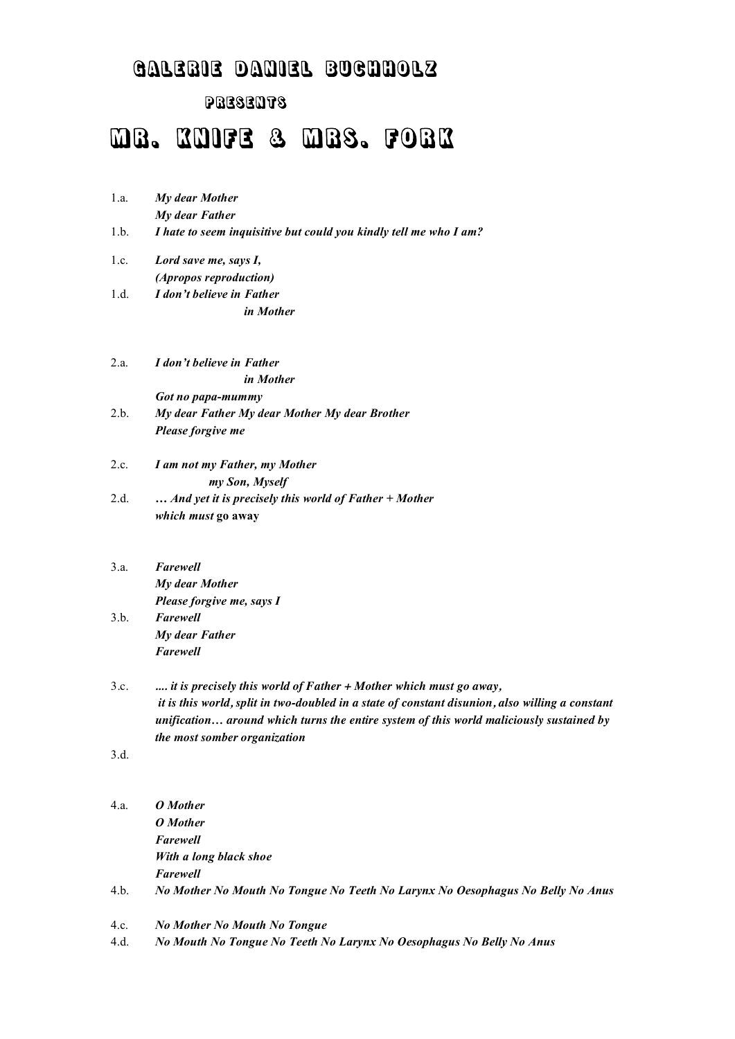# Galerie Daniel buchholz

# PRESENTS

# MR. KNIFE & MRS. FORK

| 1.a. | My dear Mother                                                    |
|------|-------------------------------------------------------------------|
|      | My dear Father                                                    |
| 1.b. | I hate to seem inquisitive but could you kindly tell me who I am? |
| 1.c. | Lord save me, says I,                                             |
|      | (Apropos reproduction)                                            |
| 1.d. | I don't believe in Father                                         |
|      | in Mother                                                         |

- 2.a. *I don't believe in Father in Mother Got no papa-mummy*
- 2.b. *My dear Father My dear Mother My dear Brother Please forgive me*
- 2.c. *I am not my Father, my Mother my Son, Myself* 2.d. **…** *And yet it is precisely this world of Father + Mother which must* **go away**
- 3.a. *Farewell My dear Mother Please forgive me, says I* 3.b. *Farewell My dear Father Farewell*
- 3.c. *.... it is precisely this world of Father + Mother which must go away, it is this world, split in two-doubled in a state of constant disunion, also willing a constant unification… around which turns the entire system of this world maliciously sustained by the most somber organization*
- 3.d.

| 4.a. | O Mother                                                                       |
|------|--------------------------------------------------------------------------------|
|      | O Mother                                                                       |
|      | Farewell                                                                       |
|      | With a long black shoe                                                         |
|      | Farewell                                                                       |
| 4.b. | No Mother No Mouth No Tongue No Teeth No Larynx No Oesophagus No Belly No Anus |
|      |                                                                                |

- 4.c. *No Mother No Mouth No Tongue*
- 4.d. *No Mouth No Tongue No Teeth No Larynx No Oesophagus No Belly No Anus*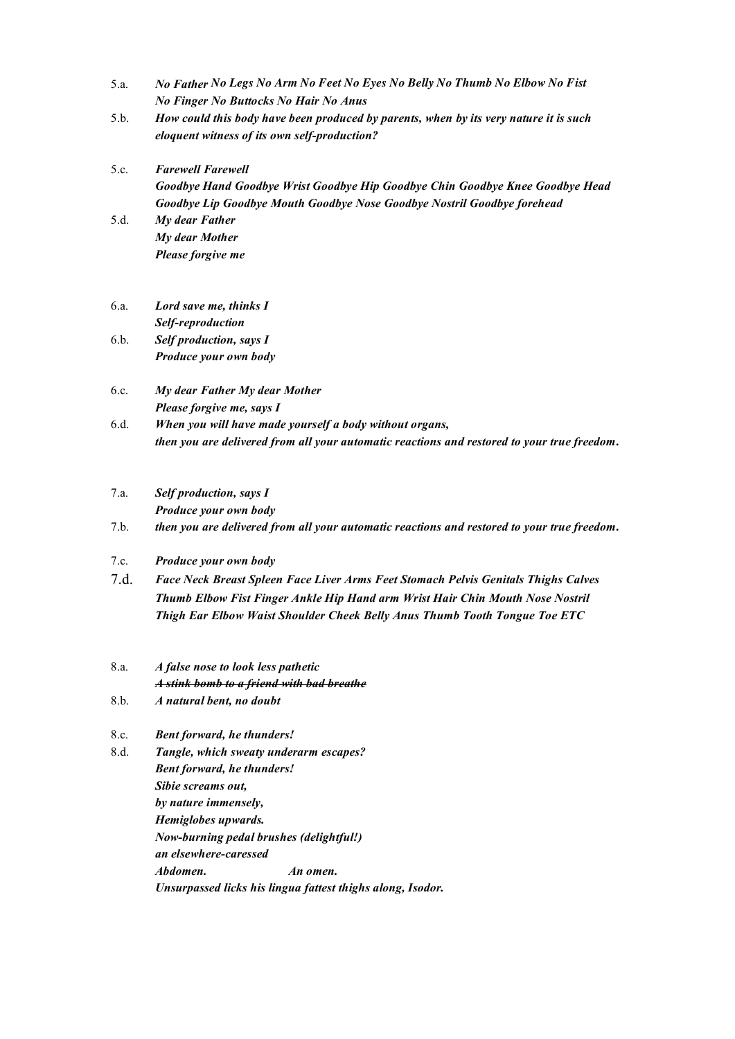- 5.a. *No Father No Legs No Arm No Feet No Eyes No Belly No Thumb No Elbow No Fist No Finger No Buttocks No Hair No Anus*
- 5.b. *How could this body have been produced by parents, when by its very nature it is such eloquent witness of its own self-production?*
- 5.c. *Farewell Farewell Goodbye Hand Goodbye Wrist Goodbye Hip Goodbye Chin Goodbye Knee Goodbye Head Goodbye Lip Goodbye Mouth Goodbye Nose Goodbye Nostril Goodbye forehead*
- 5.d. *My dear Father My dear Mother Please forgive me*
- 6.a. *Lord save me, thinks I Self-reproduction*
- 6.b. *Self production, says I Produce your own body*
- 6.c. *My dear Father My dear Mother Please forgive me, says I*
- 6.d. *When you will have made yourself a body without organs, then you are delivered from all your automatic reactions and restored to your true freedom***.**
- 7.a. *Self production, says I*

*Produce your own body*

7.b. *then you are delivered from all your automatic reactions and restored to your true freedom***.**

- 7.c. *Produce your own body*
- 7.d. *Face Neck Breast Spleen Face Liver Arms Feet Stomach Pelvis Genitals Thighs Calves Thumb Elbow Fist Finger Ankle Hip Hand arm Wrist Hair Chin Mouth Nose Nostril Thigh Ear Elbow Waist Shoulder Cheek Belly Anus Thumb Tooth Tongue Toe ETC*
- 8.a. *A false nose to look less pathetic A stink bomb to a friend with bad breathe*
- 8.b. *A natural bent, no doubt*
- 8.c. *Bent forward, he thunders!*
- 8.d. *Tangle, which sweaty underarm escapes? Bent forward, he thunders! Sibie screams out, by nature immensely, Hemiglobes upwards. Now-burning pedal brushes (delightful!) an elsewhere-caressed Abdomen. An omen. Unsurpassed licks his lingua fattest thighs along, Isodor.*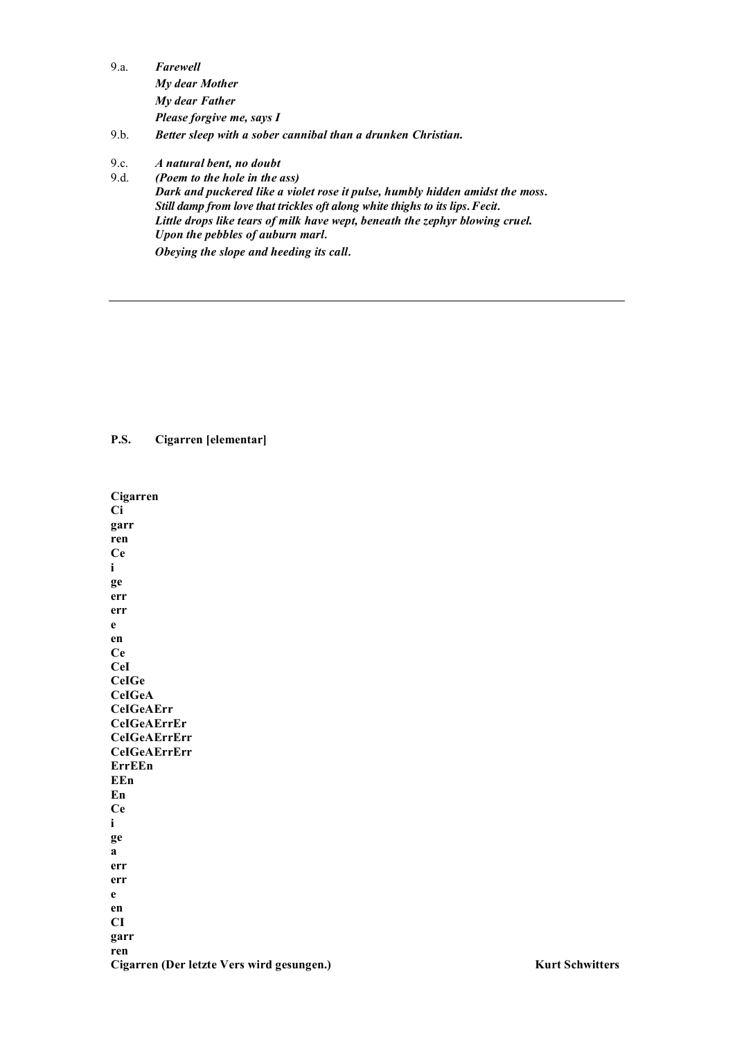| 9.a. | Farewell                  |
|------|---------------------------|
|      | My dear Mother            |
|      | My dear Father            |
|      | Please forgive me, says I |

- $9.b.$ Better sleep with a sober cannibal than a drunken Christian.
- $9c$ A natural bent, no doubt

 $9.d.$ (Poem to the hole in the ass) Dark and puckered like a violet rose it pulse, humbly hidden amidst the moss. Still damp from love that trickles oft along white thighs to its lips. Fecit. Little drops like tears of milk have wept, beneath the zephyr blowing cruel. Upon the pebbles of auburn marl. Obeying the slope and heeding its call.

**P.S.** Cigarren [elementar]

Cigarren  $Ci$ garr ren **Ce**  $\mathbf{i}$ ge err err  $\mathbf{e}$  ${\bf e}{\bf n}$ **Ce** CeI **CeIGe CeIGeA CeIGeAErr CeIGeAErrEr CelGeAErrErr CeIGeAErrErr** ErrEEn EEn En  $Ce$  $\mathbf{i}$ ge  $\mathbf{a}$ err err  $\mathbf{e}$ en  $CI$ garr ren Cigarren (Der letzte Vers wird gesungen.)